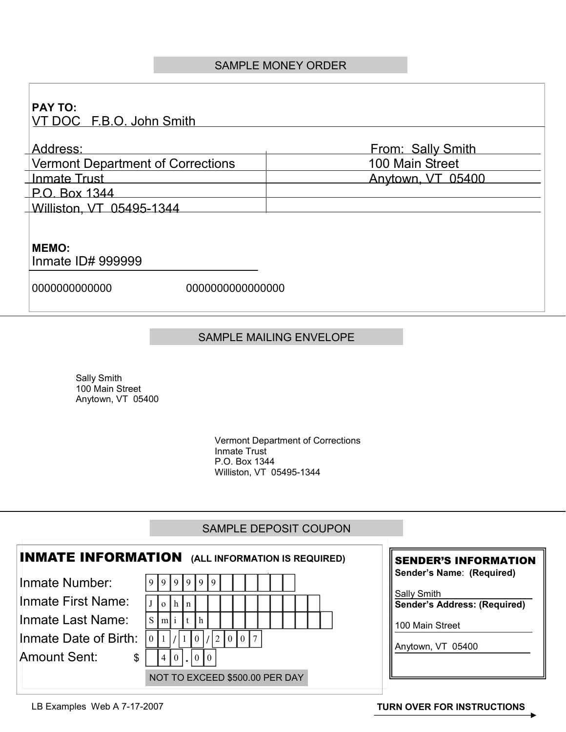## SAMPLE MONEY ORDER

| <b>PAY TO:</b><br>VT DOC F.B.O. John Smith |                 |                   |
|--------------------------------------------|-----------------|-------------------|
| Address:                                   |                 | From: Sally Smith |
| <b>Vermont Department of Corrections</b>   |                 | 100 Main Street   |
| <b>Inmate Trust</b>                        |                 | Anytown, VT 05400 |
| $\perp$ P.O. Box 1344                      |                 |                   |
| Williston, VT 05495-1344                   |                 |                   |
| <b>MEMO:</b><br>Inmate ID# 999999          |                 |                   |
| 000000000000                               | 000000000000000 |                   |

## SAMPLE MAILING ENVELOPE

Sally Smith 100 Main Street Anytown, VT 05400

> Vermont Department of Corrections Inmate Trust P.O. Box 1344 Williston, VT 05495-1344

## SAMPLE DEPOSIT COUPON

|                                | <b>INMATE INFORMATION</b> (ALL INFORMATION IS REQUIRED) | <b>SENDER'S INFORMATION</b>                 |
|--------------------------------|---------------------------------------------------------|---------------------------------------------|
| Inmate Number:                 | 91919191919                                             | Sender's Name: (Required)                   |
| Inmate First Name:             | l h-I<br>$\Omega$<br>  n                                | Sally Smith<br>Sender's Address: (Required) |
| Inmate Last Name:              | $S \mid m \mid i \mid t \mid h \mid$                    | 100 Main Street                             |
| Inmate Date of Birth:          | $\vert 0 \vert 1 \vert$<br>1  0 / 2  0 0 7              | Anytown, VT 05400                           |
| Amount Sent:<br>$\mathfrak{L}$ | (4 0 ,  0 0)                                            |                                             |
|                                | NOT TO EXCEED \$500.00 PER DAY                          |                                             |